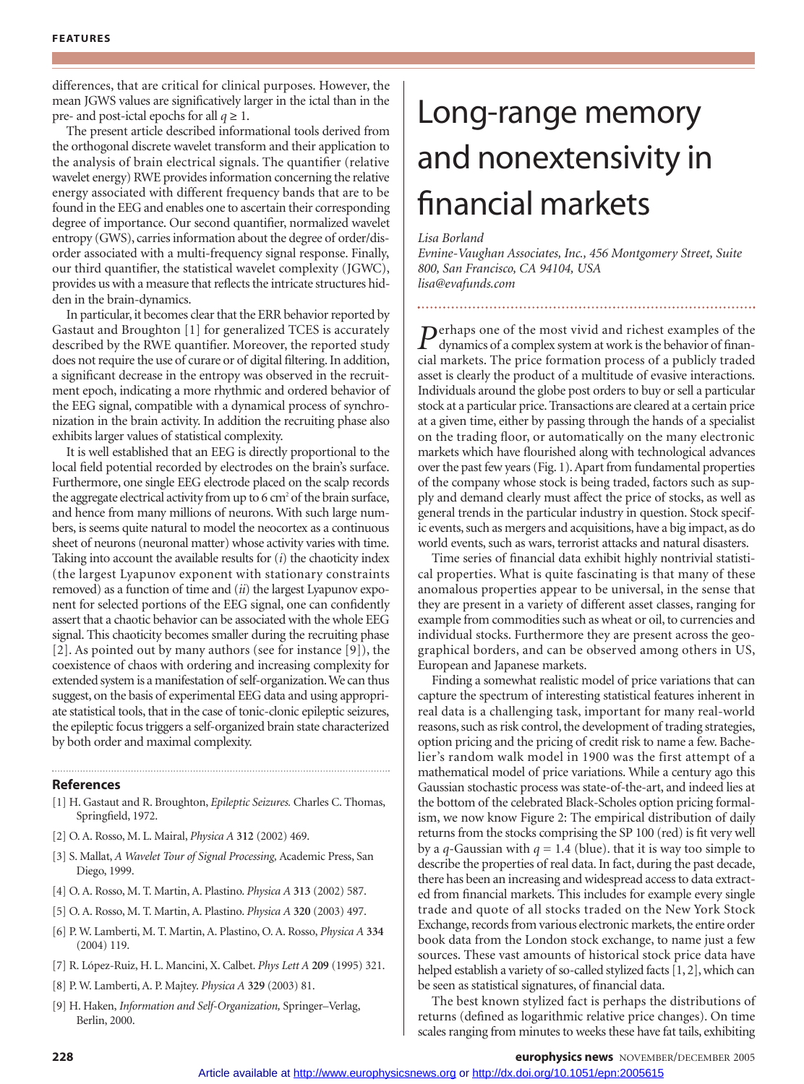differences, that are critical for clinical purposes. However, the mean JGWS values are significatively larger in the ictal than in the pre- and post-ictal epochs for all  $q \ge 1$ .

The present article described informational tools derived from the orthogonal discrete wavelet transform and their application to the analysis of brain electrical signals. The quantifier (relative wavelet energy) RWE provides information concerning the relative energy associated with different frequency bands that are to be found in the EEG and enables one to ascertain their corresponding degree of importance. Our second quantifier, normalized wavelet entropy (GWS), carries information about the degree of order/disorder associated with a multi-frequency signal response. Finally, our third quantifier, the statistical wavelet complexity (JGWC), provides us with a measure that reflects the intricate structures hidden in the brain-dynamics.

In particular, it becomes clear that the ERR behavior reported by Gastaut and Broughton [1] for generalized TCES is accurately described by the RWE quantifier. Moreover, the reported study does not require the use of curare or of digital filtering. In addition, a significant decrease in the entropy was observed in the recruitment epoch, indicating a more rhythmic and ordered behavior of the EEG signal, compatible with a dynamical process of synchronization in the brain activity. In addition the recruiting phase also exhibits larger values of statistical complexity.

It is well established that an EEG is directly proportional to the local field potential recorded by electrodes on the brain's surface. Furthermore, one single EEG electrode placed on the scalp records the aggregate electrical activity from up to 6 cm<sup>2</sup> of the brain surface, and hence from many millions of neurons. With such large numbers, is seems quite natural to model the neocortex as a continuous sheet of neurons (neuronal matter) whose activity varies with time. Taking into account the available results for (*i*) the chaoticity index (the largest Lyapunov exponent with stationary constraints removed) as a function of time and (*ii*) the largest Lyapunov exponent for selected portions of the EEG signal, one can confidently assert that a chaotic behavior can be associated with the whole EEG signal. This chaoticity becomes smaller during the recruiting phase [2]. As pointed out by many authors (see for instance [9]), the coexistence of chaos with ordering and increasing complexity for extended system is a manifestation of self-organization.We can thus suggest, on the basis of experimental EEG data and using appropriate statistical tools, that in the case of tonic-clonic epileptic seizures, the epileptic focus triggers a self-organized brain state characterized by both order and maximal complexity.

#### **References**

- [1] H. Gastaut and R. Broughton, *Epileptic Seizures.* Charles C. Thomas, Springfield, 1972.
- [2] O. A. Rosso, M. L. Mairal, *Physica A* **312** (2002) 469.
- [3] S. Mallat, *A Wavelet Tour of Signal Processing,* Academic Press, San Diego, 1999.
- [4] O. A. Rosso, M. T. Martin, A. Plastino. *Physica A* **313** (2002) 587.
- [5] O. A. Rosso, M. T. Martin, A. Plastino. *Physica A* **320** (2003) 497.
- [6] P. W. Lamberti, M. T. Martin, A. Plastino, O. A. Rosso, *Physica A* **334** (2004) 119.
- [7] R. López-Ruiz, H. L. Mancini, X. Calbet. *Phys Lett A* **209** (1995) 321.
- [8] P. W. Lamberti, A. P. Majtey. *Physica A* **329** (2003) 81.
- [9] H. Haken, *Information and Self-Organization,* Springer–Verlag, Berlin, 2000.

# Long-range memory and nonextensivity in financial markets

#### *Lisa Borland*

*Evnine-Vaughan Associates, Inc., 456 Montgomery Street, Suite 800, San Francisco, CA 94104, USA lisa@evafunds.com*

*P*erhaps one of the most vivid and richest examples of the dynamics of a complex system at work is the behavior of financial markets. The price formation process of a publicly traded asset is clearly the product of a multitude of evasive interactions. Individuals around the globe post orders to buy or sell a particular stock at a particular price. Transactions are cleared at a certain price at a given time, either by passing through the hands of a specialist on the trading floor, or automatically on the many electronic markets which have flourished along with technological advances over the past few years (Fig. 1). Apart from fundamental properties of the company whose stock is being traded, factors such as supply and demand clearly must affect the price of stocks, as well as general trends in the particular industry in question. Stock specific events, such as mergers and acquisitions, have a big impact, as do world events, such as wars, terrorist attacks and natural disasters.

Time series of financial data exhibit highly nontrivial statistical properties. What is quite fascinating is that many of these anomalous properties appear to be universal, in the sense that they are present in a variety of different asset classes, ranging for example from commodities such as wheat or oil, to currencies and individual stocks. Furthermore they are present across the geographical borders, and can be observed among others in US, European and Japanese markets.

Finding a somewhat realistic model of price variations that can capture the spectrum of interesting statistical features inherent in real data is a challenging task, important for many real-world reasons, such as risk control, the development of trading strategies, option pricing and the pricing of credit risk to name a few. Bachelier's random walk model in 1900 was the first attempt of a mathematical model of price variations. While a century ago this Gaussian stochastic process was state-of-the-art, and indeed lies at the bottom of the celebrated Black-Scholes option pricing formalism, we now know Figure 2: The empirical distribution of daily returns from the stocks comprising the SP 100 (red) is fit very well by a *q*-Gaussian with  $q = 1.4$  (blue), that it is way too simple to describe the properties of real data. In fact, during the past decade, there has been an increasing and widespread access to data extracted from financial markets. This includes for example every single trade and quote of all stocks traded on the New York Stock Exchange, records from various electronic markets, the entire order book data from the London stock exchange, to name just a few sources. These vast amounts of historical stock price data have helped establish a variety of so-called stylized facts [1, 2], which can be seen as statistical signatures, of financial data.

The best known stylized fact is perhaps the distributions of returns (defined as logarithmic relative price changes). On time scales ranging from minutes to weeks these have fat tails, exhibiting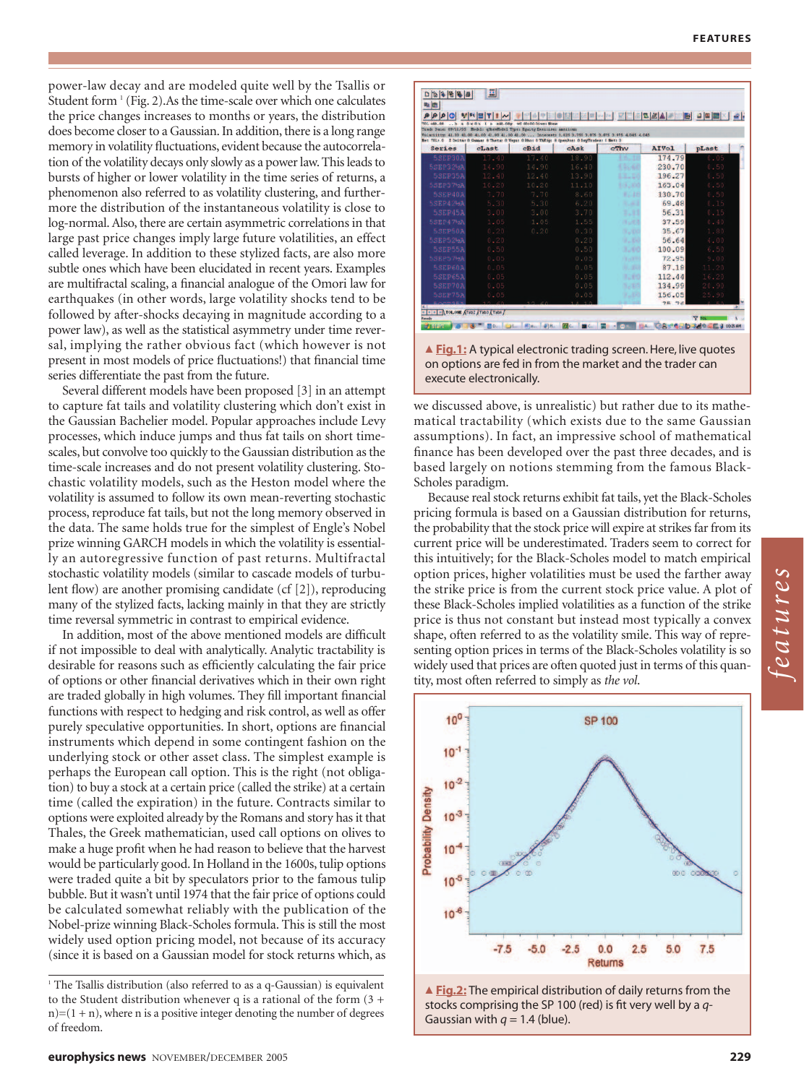power-law decay and are modeled quite well by the Tsallis or Student form  $(Fig. 2)$ . As the time-scale over which one calculates the price changes increases to months or years, the distribution does become closer to a Gaussian. In addition, there is a long range memory in volatility fluctuations, evident because the autocorrelation of the volatility decays only slowly as a power law. This leads to bursts of higher or lower volatility in the time series of returns, a phenomenon also referred to as volatility clustering, and furthermore the distribution of the instantaneous volatility is close to log-normal. Also, there are certain asymmetric correlations in that large past price changes imply large future volatilities, an effect called leverage. In addition to these stylized facts, are also more subtle ones which have been elucidated in recent years. Examples are multifractal scaling, a financial analogue of the Omori law for earthquakes (in other words, large volatility shocks tend to be followed by after-shocks decaying in magnitude according to a power law), as well as the statistical asymmetry under time reversal, implying the rather obvious fact (which however is not present in most models of price fluctuations!) that financial time series differentiate the past from the future.

Several different models have been proposed [3] in an attempt to capture fat tails and volatility clustering which don't exist in the Gaussian Bachelier model. Popular approaches include Levy processes, which induce jumps and thus fat tails on short timescales, but convolve too quickly to the Gaussian distribution as the time-scale increases and do not present volatility clustering. Stochastic volatility models, such as the Heston model where the volatility is assumed to follow its own mean-reverting stochastic process, reproduce fat tails, but not the long memory observed in the data. The same holds true for the simplest of Engle's Nobel prize winning GARCH models in which the volatility is essentially an autoregressive function of past returns. Multifractal stochastic volatility models (similar to cascade models of turbulent flow) are another promising candidate (cf [2]), reproducing many of the stylized facts, lacking mainly in that they are strictly time reversal symmetric in contrast to empirical evidence.

In addition, most of the above mentioned models are difficult if not impossible to deal with analytically. Analytic tractability is desirable for reasons such as efficiently calculating the fair price of options or other financial derivatives which in their own right are traded globally in high volumes. They fill important financial functions with respect to hedging and risk control, as well as offer purely speculative opportunities. In short, options are financial instruments which depend in some contingent fashion on the underlying stock or other asset class. The simplest example is perhaps the European call option. This is the right (not obligation) to buy a stock at a certain price (called the strike) at a certain time (called the expiration) in the future. Contracts similar to options were exploited already by the Romans and story has it that Thales, the Greek mathematician, used call options on olives to make a huge profit when he had reason to believe that the harvest would be particularly good. In Holland in the 1600s, tulip options were traded quite a bit by speculators prior to the famous tulip bubble. But it wasn't until 1974 that the fair price of options could be calculated somewhat reliably with the publication of the Nobel-prize winning Black-Scholes formula. This is still the most widely used option pricing model, not because of its accuracy (since it is based on a Gaussian model for stock returns which, as

| Series          | clast | cBid     | Not TIC: O I Daltar O Gassar & Thetar O Vegar O Dicci O TiCici & ComPana: O DayTradez: C Bety D<br>cAsk | c <sub>Thv</sub> | AIVol  | pLast |
|-----------------|-------|----------|---------------------------------------------------------------------------------------------------------|------------------|--------|-------|
| <b>SSEP30A</b>  | 17.40 | 17.40    | 18.90                                                                                                   |                  | 174.79 | 0.05  |
| <b>5SEP324A</b> | 14.90 | 14,90    | 16.40                                                                                                   | <b>STAR</b>      | 230.70 | 0.50  |
| 5SEP35A         | 12.40 | 12.40    | 13.90                                                                                                   | 13.10            | 196.27 | 0.50  |
| 5SEP37%A        | 10.20 | 10.20    | 11.10                                                                                                   | 13,300           | 163.04 | 0.50  |
| <b>5SEP40A</b>  | 7.70  | 7.70     | 8.60                                                                                                    | $8 - 15$         | 130.70 | 0.50  |
| SSEP42WA        | 5.30  | 5.30     | 6.20                                                                                                    | <b>Suite of</b>  | 69.48  | 0.15  |
| <b>SSEP45A</b>  | 3.00  | $3 - 00$ | 3.70                                                                                                    | 1.11             | 56.31  | 0.15  |
| <b>SSEP47%A</b> | 1.05  | 1.05     | 1.55                                                                                                    | 3.41             | 37.59  | 0.40  |
| <b>SSEPSOA</b>  | 0.20  | 0.20     | 0.30                                                                                                    | 3,00             | 35.67  | 1.80  |
| <b>5SEP52%A</b> | 0.20  |          | 0.20                                                                                                    | $1 - 14$         | 56.64  | 4,00  |
| 5SEP55A         | 0.50  |          | 0.50                                                                                                    | $3 - 00$         | 100.09 | 6.50  |
| <b>5SEP57%A</b> | 0.05  |          | 0.05                                                                                                    | <b>COLLEGE</b>   | 72.95  | 9.00  |
| 5SEP60A         | 0.05  |          | 0.05                                                                                                    | 31, 313          | 87.18  | 11.20 |
| <b>5SEP65A</b>  | 0.05  |          | 0.05                                                                                                    | 31,90            | 112.44 | 16.20 |
| 5SEP70A         | 0.05  |          | 0.05                                                                                                    | 5,27             | 134.99 | 20.90 |
| <b>SSEP75A</b>  | 0.05  |          | 0.05                                                                                                    | $1 - 1$          | 156.05 | 25.90 |
|                 |       |          |                                                                                                         |                  | フル・ワイ  |       |

on options are fed in from the market and the trader can execute electronically.

we discussed above, is unrealistic) but rather due to its mathematical tractability (which exists due to the same Gaussian assumptions). In fact, an impressive school of mathematical finance has been developed over the past three decades, and is based largely on notions stemming from the famous Black-Scholes paradigm.

Because real stock returns exhibit fat tails, yet the Black-Scholes pricing formula is based on a Gaussian distribution for returns, the probability that the stock price will expire at strikes far from its current price will be underestimated. Traders seem to correct for this intuitively; for the Black-Scholes model to match empirical option prices, higher volatilities must be used the farther away the strike price is from the current stock price value. A plot of these Black-Scholes implied volatilities as a function of the strike price is thus not constant but instead most typically a convex shape, often referred to as the volatility smile. This way of representing option prices in terms of the Black-Scholes volatility is so widely used that prices are often quoted just in terms of this quantity, most often referred to simply as *the vol*.



▲ Fig.2: The empirical distribution of daily returns from the stocks comprising the SP 100 (red) is fit very well by a *q*-Gaussian with  $q = 1.4$  (blue).

<sup>&</sup>lt;sup>1</sup> The Tsallis distribution (also referred to as a q-Gaussian) is equivalent to the Student distribution whenever q is a rational of the form  $(3 +$  $n$ )=(1 + n), where n is a positive integer denoting the number of degrees of freedom.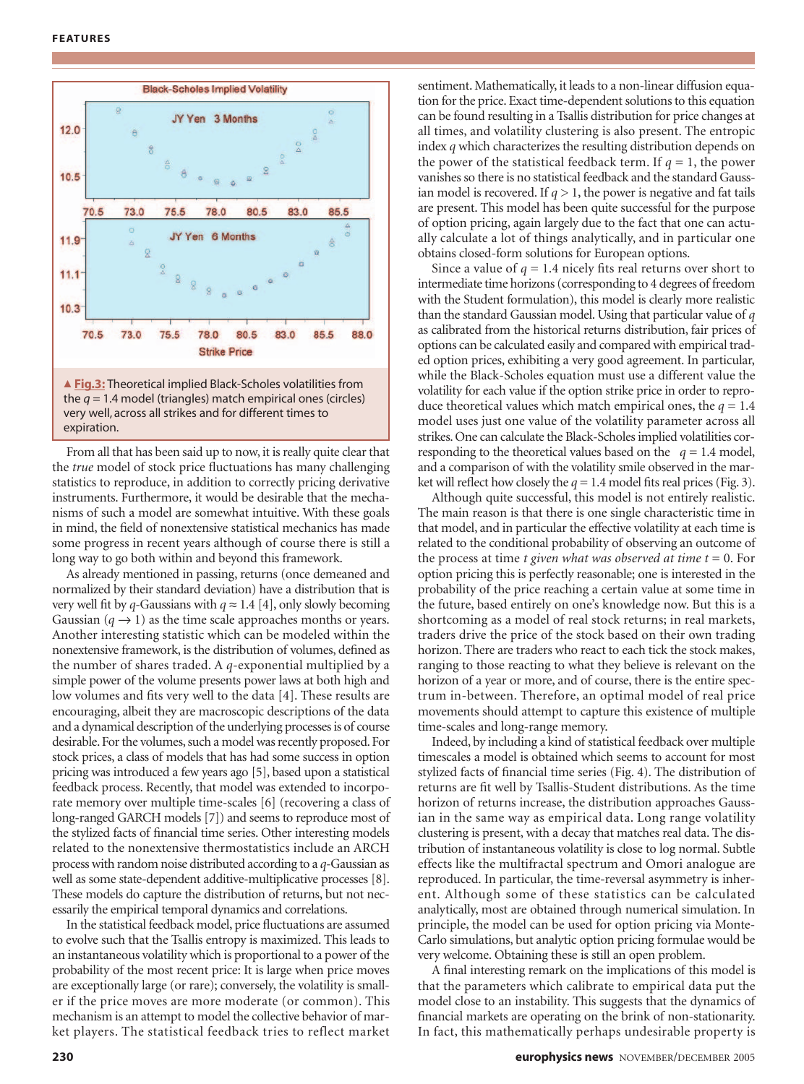

From all that has been said up to now, it is really quite clear that the *true* model of stock price fluctuations has many challenging statistics to reproduce, in addition to correctly pricing derivative instruments. Furthermore, it would be desirable that the mechanisms of such a model are somewhat intuitive. With these goals in mind, the field of nonextensive statistical mechanics has made some progress in recent years although of course there is still a long way to go both within and beyond this framework.

As already mentioned in passing, returns (once demeaned and normalized by their standard deviation) have a distribution that is very well fit by *q*-Gaussians with  $q \approx 1.4$  [4], only slowly becoming Gaussian ( $q \rightarrow 1$ ) as the time scale approaches months or years. Another interesting statistic which can be modeled within the nonextensive framework, is the distribution of volumes, defined as the number of shares traded. A *q*-exponential multiplied by a simple power of the volume presents power laws at both high and low volumes and fits very well to the data [4]. These results are encouraging, albeit they are macroscopic descriptions of the data and a dynamical description of the underlying processes is of course desirable. For the volumes, such a model was recently proposed. For stock prices, a class of models that has had some success in option pricing was introduced a few years ago [5], based upon a statistical feedback process. Recently, that model was extended to incorporate memory over multiple time-scales [6] (recovering a class of long-ranged GARCH models [7]) and seems to reproduce most of the stylized facts of financial time series. Other interesting models related to the nonextensive thermostatistics include an ARCH process with random noise distributed according to a *q*-Gaussian as well as some state-dependent additive-multiplicative processes [8]. These models do capture the distribution of returns, but not necessarily the empirical temporal dynamics and correlations.

In the statistical feedback model, price fluctuations are assumed to evolve such that the Tsallis entropy is maximized. This leads to an instantaneous volatility which is proportional to a power of the probability of the most recent price: It is large when price moves are exceptionally large (or rare); conversely, the volatility is smaller if the price moves are more moderate (or common). This mechanism is an attempt to model the collective behavior of market players. The statistical feedback tries to reflect market sentiment. Mathematically, it leads to a non-linear diffusion equation for the price. Exact time-dependent solutions to this equation can be found resulting in a Tsallis distribution for price changes at all times, and volatility clustering is also present. The entropic index *q* which characterizes the resulting distribution depends on the power of the statistical feedback term. If  $q = 1$ , the power vanishes so there is no statistical feedback and the standard Gaussian model is recovered. If  $q > 1$ , the power is negative and fat tails are present. This model has been quite successful for the purpose of option pricing, again largely due to the fact that one can actually calculate a lot of things analytically, and in particular one obtains closed-form solutions for European options.

Since a value of  $q = 1.4$  nicely fits real returns over short to intermediate time horizons (corresponding to 4 degrees of freedom with the Student formulation), this model is clearly more realistic than the standard Gaussian model. Using that particular value of *q* as calibrated from the historical returns distribution, fair prices of options can be calculated easily and compared with empirical traded option prices, exhibiting a very good agreement. In particular, while the Black-Scholes equation must use a different value the volatility for each value if the option strike price in order to reproduce theoretical values which match empirical ones, the  $q = 1.4$ model uses just one value of the volatility parameter across all strikes. One can calculate the Black-Scholes implied volatilities corresponding to the theoretical values based on the  $q = 1.4$  model, and a comparison of with the volatility smile observed in the market will reflect how closely the  $q = 1.4$  model fits real prices (Fig. 3).

Although quite successful, this model is not entirely realistic. The main reason is that there is one single characteristic time in that model, and in particular the effective volatility at each time is related to the conditional probability of observing an outcome of the process at time *t given what was observed at time t* = 0. For option pricing this is perfectly reasonable; one is interested in the probability of the price reaching a certain value at some time in the future, based entirely on one's knowledge now. But this is a shortcoming as a model of real stock returns; in real markets, traders drive the price of the stock based on their own trading horizon. There are traders who react to each tick the stock makes, ranging to those reacting to what they believe is relevant on the horizon of a year or more, and of course, there is the entire spectrum in-between. Therefore, an optimal model of real price movements should attempt to capture this existence of multiple time-scales and long-range memory.

Indeed, by including a kind of statistical feedback over multiple timescales a model is obtained which seems to account for most stylized facts of financial time series (Fig. 4). The distribution of returns are fit well by Tsallis-Student distributions. As the time horizon of returns increase, the distribution approaches Gaussian in the same way as empirical data. Long range volatility clustering is present, with a decay that matches real data. The distribution of instantaneous volatility is close to log normal. Subtle effects like the multifractal spectrum and Omori analogue are reproduced. In particular, the time-reversal asymmetry is inherent. Although some of these statistics can be calculated analytically, most are obtained through numerical simulation. In principle, the model can be used for option pricing via Monte-Carlo simulations, but analytic option pricing formulae would be very welcome. Obtaining these is still an open problem.

A final interesting remark on the implications of this model is that the parameters which calibrate to empirical data put the model close to an instability. This suggests that the dynamics of financial markets are operating on the brink of non-stationarity. In fact, this mathematically perhaps undesirable property is